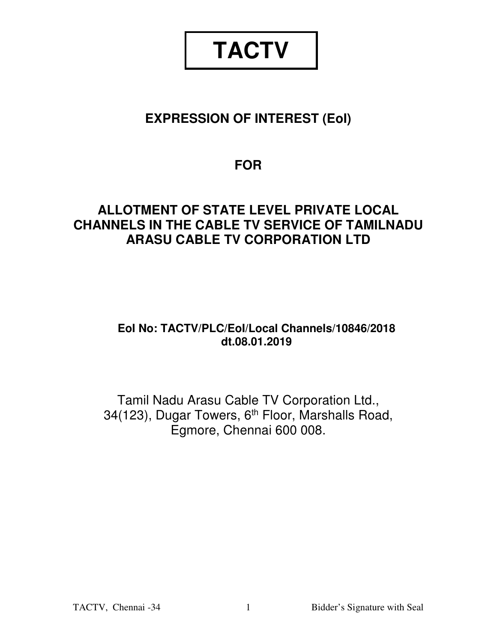# **TACTV**

# **EXPRESSION OF INTEREST (EoI)**

# **FOR**

# **ALLOTMENT OF STATE LEVEL PRIVATE LOCAL CHANNELS IN THE CABLE TV SERVICE OF TAMILNADU ARASU CABLE TV CORPORATION LTD**

# **EoI No: TACTV/PLC/EoI/Local Channels/10846/2018 dt.08.01.2019**

Tamil Nadu Arasu Cable TV Corporation Ltd., 34(123), Dugar Towers, 6<sup>th</sup> Floor, Marshalls Road, Egmore, Chennai 600 008.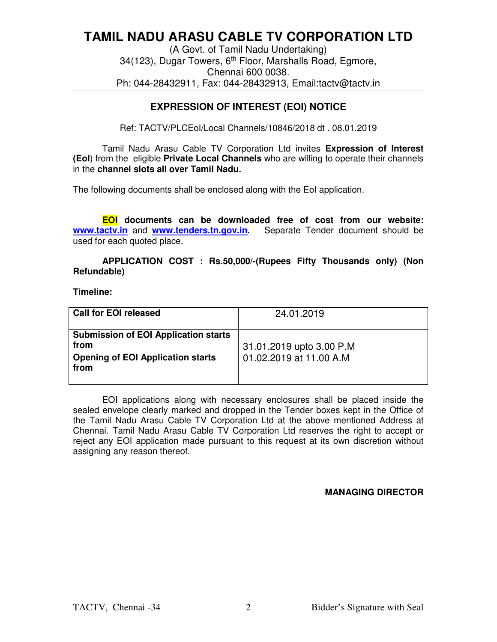# **TAMIL NADU ARASU CABLE TV CORPORATION LTD**

(A Govt. of Tamil Nadu Undertaking) 34(123), Dugar Towers, 6th Floor, Marshalls Road, Egmore, Chennai 600 0038. Ph: 044-28432911, Fax: 044-28432913, Email:tactv@tactv.in

# **EXPRESSION OF INTEREST (EOI) NOTICE**

Ref: TACTV/PLCEoI/Local Channels/10846/2018 dt . 08.01.2019

Tamil Nadu Arasu Cable TV Corporation Ltd invites **Expression of Interest (EoI**) from the eligible **Private Local Channels** who are willing to operate their channels in the **channel slots all over Tamil Nadu.** 

The following documents shall be enclosed along with the EoI application.

**EOI documents can be downloaded free of cost from our website: www.tactv.in** and **www.tenders.tn.gov.in.** Separate Tender document should be used for each quoted place.

**APPLICATION COST : Rs.50,000/-(Rupees Fifty Thousands only) (Non Refundable)** 

**Timeline:** 

| <b>Call for EOI released</b>                        | 24.01.2019               |
|-----------------------------------------------------|--------------------------|
| <b>Submission of EOI Application starts</b><br>from | 31.01.2019 upto 3.00 P.M |
| <b>Opening of EOI Application starts</b><br>from    | 01.02.2019 at 11.00 A.M. |

EOI applications along with necessary enclosures shall be placed inside the sealed envelope clearly marked and dropped in the Tender boxes kept in the Office of the Tamil Nadu Arasu Cable TV Corporation Ltd at the above mentioned Address at Chennai. Tamil Nadu Arasu Cable TV Corporation Ltd reserves the right to accept or reject any EOI application made pursuant to this request at its own discretion without assigning any reason thereof.

## **MANAGING DIRECTOR**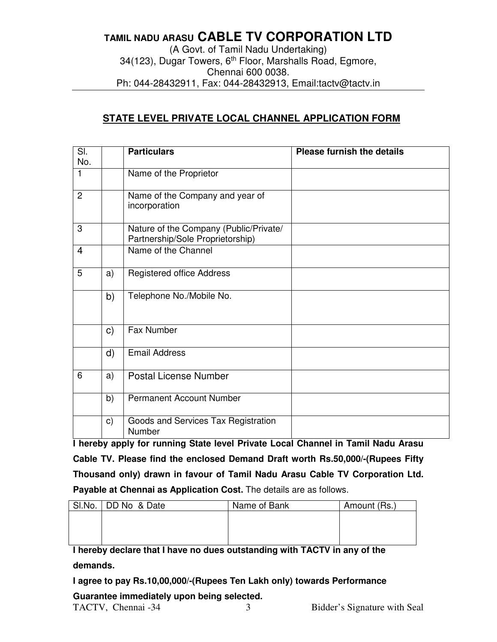# **TAMIL NADU ARASU CABLE TV CORPORATION LTD**  (A Govt. of Tamil Nadu Undertaking) 34(123), Dugar Towers, 6<sup>th</sup> Floor, Marshalls Road, Egmore,

Chennai 600 0038.

Ph: 044-28432911, Fax: 044-28432913, Email:tactv@tactv.in

# **STATE LEVEL PRIVATE LOCAL CHANNEL APPLICATION FORM**

| $\overline{\text{SI}}$<br>No. |    | <b>Particulars</b>                                                         | <b>Please furnish the details</b> |
|-------------------------------|----|----------------------------------------------------------------------------|-----------------------------------|
| $\mathbf{1}$                  |    | Name of the Proprietor                                                     |                                   |
| 2                             |    | Name of the Company and year of<br>incorporation                           |                                   |
| 3                             |    | Nature of the Company (Public/Private/<br>Partnership/Sole Proprietorship) |                                   |
| $\overline{4}$                |    | Name of the Channel                                                        |                                   |
| 5                             | a) | <b>Registered office Address</b>                                           |                                   |
|                               | b) | Telephone No./Mobile No.                                                   |                                   |
|                               | C) | Fax Number                                                                 |                                   |
|                               | d) | <b>Email Address</b>                                                       |                                   |
| 6                             | a) | <b>Postal License Number</b>                                               |                                   |
|                               | b) | <b>Permanent Account Number</b>                                            |                                   |
|                               | c) | Goods and Services Tax Registration<br>Number                              |                                   |

**I hereby apply for running State level Private Local Channel in Tamil Nadu Arasu Cable TV. Please find the enclosed Demand Draft worth Rs.50,000/-(Rupees Fifty Thousand only) drawn in favour of Tamil Nadu Arasu Cable TV Corporation Ltd. Payable at Chennai as Application Cost.** The details are as follows.

| SI.No. | DD No & Date | Name of Bank | Amount (Rs.) |
|--------|--------------|--------------|--------------|
|        |              |              |              |
|        |              |              |              |
|        |              |              |              |

**I hereby declare that I have no dues outstanding with TACTV in any of the demands.** 

**I agree to pay Rs.10,00,000/-(Rupees Ten Lakh only) towards Performance** 

TACTV, Chennai -34 3 Bidder's Signature with Seal **Guarantee immediately upon being selected.**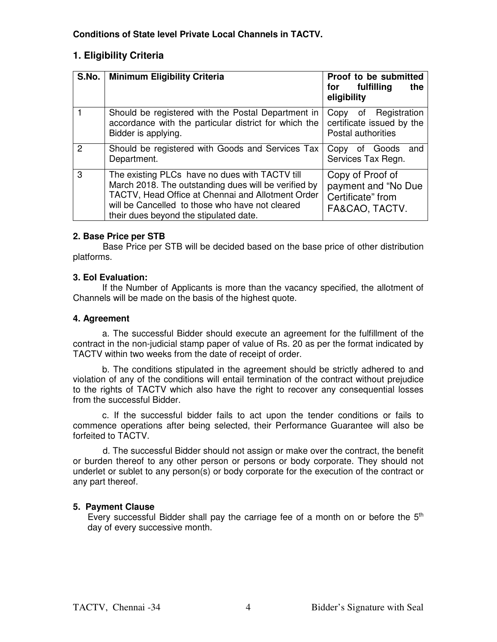# **1. Eligibility Criteria**

| S.No.          | <b>Minimum Eligibility Criteria</b>                                                                                                                                                                                                                      | Proof to be submitted<br>for fulfilling<br>the<br>eligibility                  |
|----------------|----------------------------------------------------------------------------------------------------------------------------------------------------------------------------------------------------------------------------------------------------------|--------------------------------------------------------------------------------|
|                | Should be registered with the Postal Department in<br>accordance with the particular district for which the<br>Bidder is applying.                                                                                                                       | of Registration<br>Copy<br>certificate issued by the<br>Postal authorities     |
| $\overline{2}$ | Should be registered with Goods and Services Tax<br>Department.                                                                                                                                                                                          | Goods<br>Copy<br>of<br>and<br>Services Tax Regn.                               |
| 3              | The existing PLCs have no dues with TACTV till<br>March 2018. The outstanding dues will be verified by<br>TACTV, Head Office at Chennai and Allotment Order<br>will be Cancelled to those who have not cleared<br>their dues beyond the stipulated date. | Copy of Proof of<br>payment and "No Due<br>Certificate" from<br>FA&CAO, TACTV. |

# **2. Base Price per STB**

Base Price per STB will be decided based on the base price of other distribution platforms.

# **3. EoI Evaluation:**

If the Number of Applicants is more than the vacancy specified, the allotment of Channels will be made on the basis of the highest quote.

# **4. Agreement**

 a. The successful Bidder should execute an agreement for the fulfillment of the contract in the non-judicial stamp paper of value of Rs. 20 as per the format indicated by TACTV within two weeks from the date of receipt of order.

 b. The conditions stipulated in the agreement should be strictly adhered to and violation of any of the conditions will entail termination of the contract without prejudice to the rights of TACTV which also have the right to recover any consequential losses from the successful Bidder.

 c. If the successful bidder fails to act upon the tender conditions or fails to commence operations after being selected, their Performance Guarantee will also be forfeited to TACTV.

 d. The successful Bidder should not assign or make over the contract, the benefit or burden thereof to any other person or persons or body corporate. They should not underlet or sublet to any person(s) or body corporate for the execution of the contract or any part thereof.

# **5. Payment Clause**

Every successful Bidder shall pay the carriage fee of a month on or before the  $5<sup>th</sup>$ day of every successive month.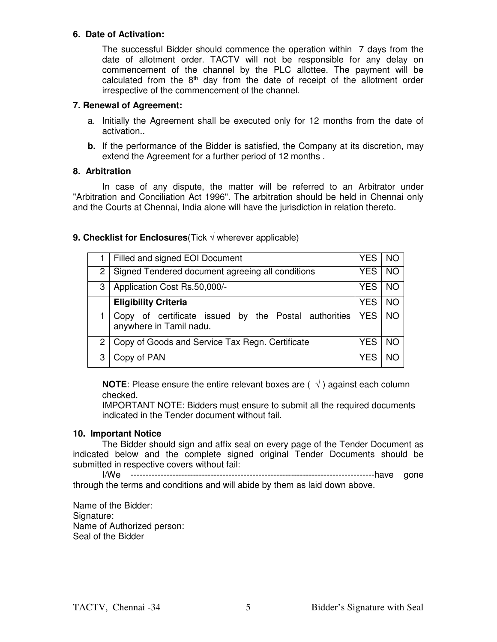#### **6. Date of Activation:**

The successful Bidder should commence the operation within 7 days from the date of allotment order. TACTV will not be responsible for any delay on commencement of the channel by the PLC allottee. The payment will be calculated from the  $8<sup>th</sup>$  day from the date of receipt of the allotment order irrespective of the commencement of the channel.

#### **7. Renewal of Agreement:**

- a. Initially the Agreement shall be executed only for 12 months from the date of activation..
- **b.** If the performance of the Bidder is satisfied, the Company at its discretion, may extend the Agreement for a further period of 12 months .

#### **8. Arbitration**

 In case of any dispute, the matter will be referred to an Arbitrator under "Arbitration and Conciliation Act 1996". The arbitration should be held in Chennai only and the Courts at Chennai, India alone will have the jurisdiction in relation thereto.

## **9. Checklist for Enclosures**(Tick √ wherever applicable)

|     | Filled and signed EOI Document                                                  |            | NO        |
|-----|---------------------------------------------------------------------------------|------------|-----------|
| 2 I | Signed Tendered document agreeing all conditions                                |            | <b>NO</b> |
| 3   | Application Cost Rs.50,000/-                                                    | <b>YES</b> | <b>NO</b> |
|     | <b>Eligibility Criteria</b>                                                     | <b>YES</b> | <b>NO</b> |
|     | Copy of certificate issued by the Postal authorities<br>anywhere in Tamil nadu. | <b>YES</b> | <b>NO</b> |
| 2   | Copy of Goods and Service Tax Regn. Certificate                                 |            | NO.       |
|     | Copy of PAN                                                                     | YES        |           |

**NOTE:** Please ensure the entire relevant boxes are  $(\sqrt{)}$  against each column checked.

IMPORTANT NOTE: Bidders must ensure to submit all the required documents indicated in the Tender document without fail.

#### **10. Important Notice**

 The Bidder should sign and affix seal on every page of the Tender Document as indicated below and the complete signed original Tender Documents should be submitted in respective covers without fail:

----------------------------------have gone through the terms and conditions and will abide by them as laid down above.

Name of the Bidder: Signature: Name of Authorized person: Seal of the Bidder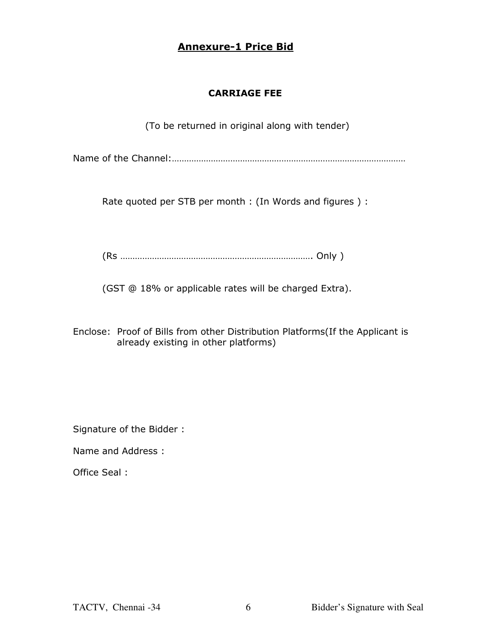# **Annexure-1 Price Bid**

# **CARRIAGE FEE**

(To be returned in original along with tender)

Name of the Channel:……………………………………………………………………………………

Rate quoted per STB per month : (In Words and figures ) :

(Rs ……………………………………………………………………. Only )

(GST @ 18% or applicable rates will be charged Extra).

Enclose: Proof of Bills from other Distribution Platforms(If the Applicant is already existing in other platforms)

Signature of the Bidder :

Name and Address :

Office Seal :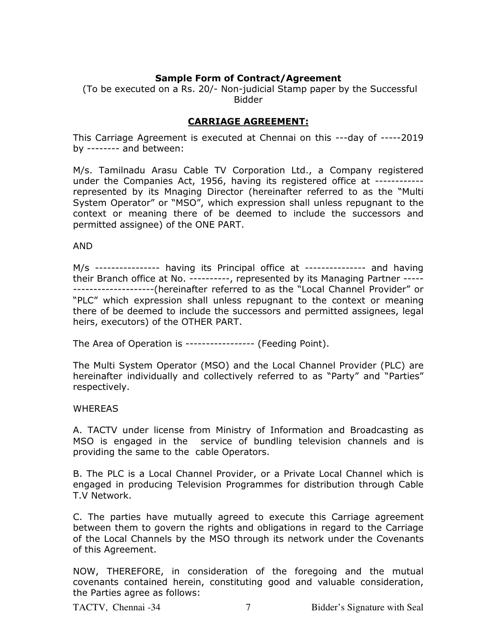# **Sample Form of Contract/Agreement**

 (To be executed on a Rs. 20/- Non-judicial Stamp paper by the Successful Bidder

# **CARRIAGE AGREEMENT:**

This Carriage Agreement is executed at Chennai on this ---day of -----2019 by -------- and between:

M/s. Tamilnadu Arasu Cable TV Corporation Ltd., a Company registered under the Companies Act, 1956, having its registered office at ----------- represented by its Mnaging Director (hereinafter referred to as the "Multi System Operator" or "MSO", which expression shall unless repugnant to the context or meaning there of be deemed to include the successors and permitted assignee) of the ONE PART.

AND

M/s ---------------- having its Principal office at --------------- and having their Branch office at No. ----------, represented by its Managing Partner ----- --------------------(hereinafter referred to as the "Local Channel Provider" or "PLC" which expression shall unless repugnant to the context or meaning there of be deemed to include the successors and permitted assignees, legal heirs, executors) of the OTHER PART.

The Area of Operation is ----------------- (Feeding Point).

The Multi System Operator (MSO) and the Local Channel Provider (PLC) are hereinafter individually and collectively referred to as "Party" and "Parties" respectively.

## **WHEREAS**

A. TACTV under license from Ministry of Information and Broadcasting as MSO is engaged in the service of bundling television channels and is providing the same to the cable Operators.

B. The PLC is a Local Channel Provider, or a Private Local Channel which is engaged in producing Television Programmes for distribution through Cable T.V Network.

C. The parties have mutually agreed to execute this Carriage agreement between them to govern the rights and obligations in regard to the Carriage of the Local Channels by the MSO through its network under the Covenants of this Agreement.

NOW, THEREFORE, in consideration of the foregoing and the mutual covenants contained herein, constituting good and valuable consideration, the Parties agree as follows: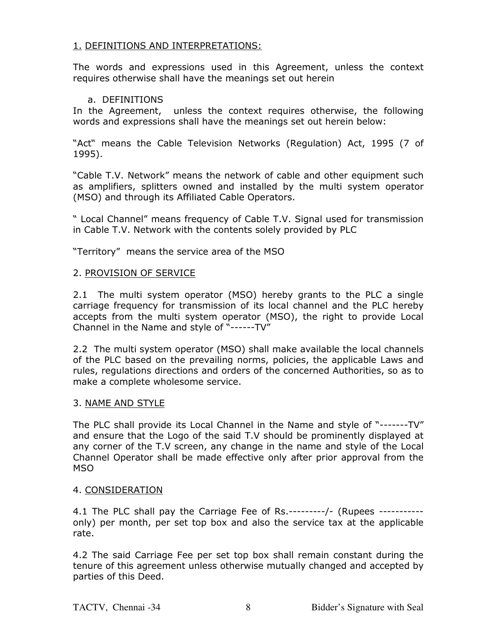# 1. DEFINITIONS AND INTERPRETATIONS:

The words and expressions used in this Agreement, unless the context requires otherwise shall have the meanings set out herein

## a. DEFINITIONS

In the Agreement, unless the context requires otherwise, the following words and expressions shall have the meanings set out herein below:

"Act" means the Cable Television Networks (Regulation) Act, 1995 (7 of 1995).

"Cable T.V. Network" means the network of cable and other equipment such as amplifiers, splitters owned and installed by the multi system operator (MSO) and through its Affiliated Cable Operators.

" Local Channel" means frequency of Cable T.V. Signal used for transmission in Cable T.V. Network with the contents solely provided by PLC

"Territory" means the service area of the MSO

## 2. PROVISION OF SERVICE

2.1 The multi system operator (MSO) hereby grants to the PLC a single carriage frequency for transmission of its local channel and the PLC hereby accepts from the multi system operator (MSO), the right to provide Local Channel in the Name and style of "------TV"

2.2 The multi system operator (MSO) shall make available the local channels of the PLC based on the prevailing norms, policies, the applicable Laws and rules, regulations directions and orders of the concerned Authorities, so as to make a complete wholesome service.

## 3. NAME AND STYLE

The PLC shall provide its Local Channel in the Name and style of "-------TV" and ensure that the Logo of the said T.V should be prominently displayed at any corner of the T.V screen, any change in the name and style of the Local Channel Operator shall be made effective only after prior approval from the MSO

## 4. CONSIDERATION

4.1 The PLC shall pay the Carriage Fee of Rs.---------/- (Rupees ---------- only) per month, per set top box and also the service tax at the applicable rate.

4.2 The said Carriage Fee per set top box shall remain constant during the tenure of this agreement unless otherwise mutually changed and accepted by parties of this Deed.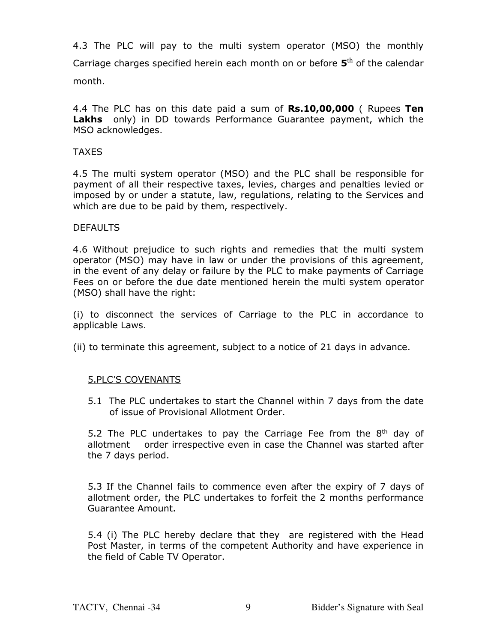4.3 The PLC will pay to the multi system operator (MSO) the monthly Carriage charges specified herein each month on or before  $5<sup>th</sup>$  of the calendar month.

4.4 The PLC has on this date paid a sum of **Rs.10,00,000** ( Rupees **Ten Lakhs** only) in DD towards Performance Guarantee payment, which the MSO acknowledges.

## TAXES

4.5 The multi system operator (MSO) and the PLC shall be responsible for payment of all their respective taxes, levies, charges and penalties levied or imposed by or under a statute, law, regulations, relating to the Services and which are due to be paid by them, respectively.

## **DEFAULTS**

4.6 Without prejudice to such rights and remedies that the multi system operator (MSO) may have in law or under the provisions of this agreement, in the event of any delay or failure by the PLC to make payments of Carriage Fees on or before the due date mentioned herein the multi system operator (MSO) shall have the right:

(i) to disconnect the services of Carriage to the PLC in accordance to applicable Laws.

(ii) to terminate this agreement, subject to a notice of 21 days in advance.

# 5.PLC'S COVENANTS

5.1 The PLC undertakes to start the Channel within 7 days from the date of issue of Provisional Allotment Order.

5.2 The PLC undertakes to pay the Carriage Fee from the  $8<sup>th</sup>$  day of allotment order irrespective even in case the Channel was started after the 7 days period.

5.3 If the Channel fails to commence even after the expiry of 7 days of allotment order, the PLC undertakes to forfeit the 2 months performance Guarantee Amount.

5.4 (i) The PLC hereby declare that they are registered with the Head Post Master, in terms of the competent Authority and have experience in the field of Cable TV Operator.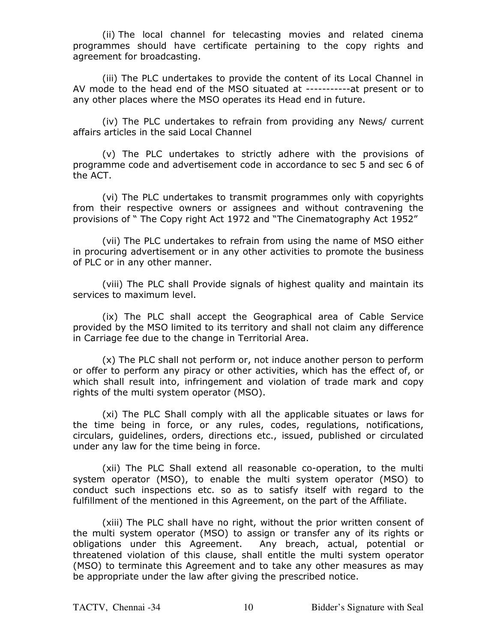(ii) The local channel for telecasting movies and related cinema programmes should have certificate pertaining to the copy rights and agreement for broadcasting.

(iii) The PLC undertakes to provide the content of its Local Channel in AV mode to the head end of the MSO situated at -----------at present or to any other places where the MSO operates its Head end in future.

 (iv) The PLC undertakes to refrain from providing any News/ current affairs articles in the said Local Channel

 (v) The PLC undertakes to strictly adhere with the provisions of programme code and advertisement code in accordance to sec 5 and sec 6 of the ACT.

 (vi) The PLC undertakes to transmit programmes only with copyrights from their respective owners or assignees and without contravening the provisions of " The Copy right Act 1972 and "The Cinematography Act 1952"

 (vii) The PLC undertakes to refrain from using the name of MSO either in procuring advertisement or in any other activities to promote the business of PLC or in any other manner.

 (viii) The PLC shall Provide signals of highest quality and maintain its services to maximum level.

 (ix) The PLC shall accept the Geographical area of Cable Service provided by the MSO limited to its territory and shall not claim any difference in Carriage fee due to the change in Territorial Area.

 (x) The PLC shall not perform or, not induce another person to perform or offer to perform any piracy or other activities, which has the effect of, or which shall result into, infringement and violation of trade mark and copy rights of the multi system operator (MSO).

(xi) The PLC Shall comply with all the applicable situates or laws for the time being in force, or any rules, codes, regulations, notifications, circulars, guidelines, orders, directions etc., issued, published or circulated under any law for the time being in force.

 (xii) The PLC Shall extend all reasonable co-operation, to the multi system operator (MSO), to enable the multi system operator (MSO) to conduct such inspections etc. so as to satisfy itself with regard to the fulfillment of the mentioned in this Agreement, on the part of the Affiliate.

 (xiii) The PLC shall have no right, without the prior written consent of the multi system operator (MSO) to assign or transfer any of its rights or obligations under this Agreement. Any breach, actual, potential or threatened violation of this clause, shall entitle the multi system operator (MSO) to terminate this Agreement and to take any other measures as may be appropriate under the law after giving the prescribed notice.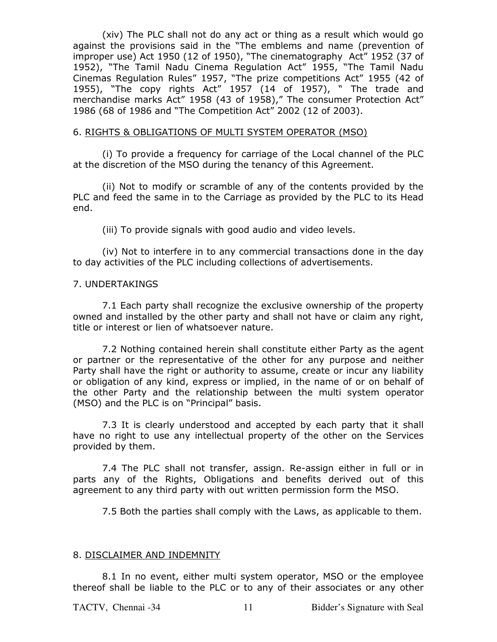(xiv) The PLC shall not do any act or thing as a result which would go against the provisions said in the "The emblems and name (prevention of improper use) Act 1950 (12 of 1950), "The cinematography Act" 1952 (37 of 1952), "The Tamil Nadu Cinema Regulation Act" 1955, "The Tamil Nadu Cinemas Regulation Rules" 1957, "The prize competitions Act" 1955 (42 of 1955), "The copy rights Act" 1957 (14 of 1957), " The trade and merchandise marks Act" 1958 (43 of 1958)," The consumer Protection Act" 1986 (68 of 1986 and "The Competition Act" 2002 (12 of 2003).

#### 6. RIGHTS & OBLIGATIONS OF MULTI SYSTEM OPERATOR (MSO)

 (i) To provide a frequency for carriage of the Local channel of the PLC at the discretion of the MSO during the tenancy of this Agreement.

(ii) Not to modify or scramble of any of the contents provided by the PLC and feed the same in to the Carriage as provided by the PLC to its Head end.

(iii) To provide signals with good audio and video levels.

 (iv) Not to interfere in to any commercial transactions done in the day to day activities of the PLC including collections of advertisements.

#### 7. UNDERTAKINGS

 7.1 Each party shall recognize the exclusive ownership of the property owned and installed by the other party and shall not have or claim any right, title or interest or lien of whatsoever nature.

 7.2 Nothing contained herein shall constitute either Party as the agent or partner or the representative of the other for any purpose and neither Party shall have the right or authority to assume, create or incur any liability or obligation of any kind, express or implied, in the name of or on behalf of the other Party and the relationship between the multi system operator (MSO) and the PLC is on "Principal" basis.

 7.3 It is clearly understood and accepted by each party that it shall have no right to use any intellectual property of the other on the Services provided by them.

 7.4 The PLC shall not transfer, assign. Re-assign either in full or in parts any of the Rights, Obligations and benefits derived out of this agreement to any third party with out written permission form the MSO.

7.5 Both the parties shall comply with the Laws, as applicable to them.

#### 8. DISCLAIMER AND INDEMNITY

 8.1 In no event, either multi system operator, MSO or the employee thereof shall be liable to the PLC or to any of their associates or any other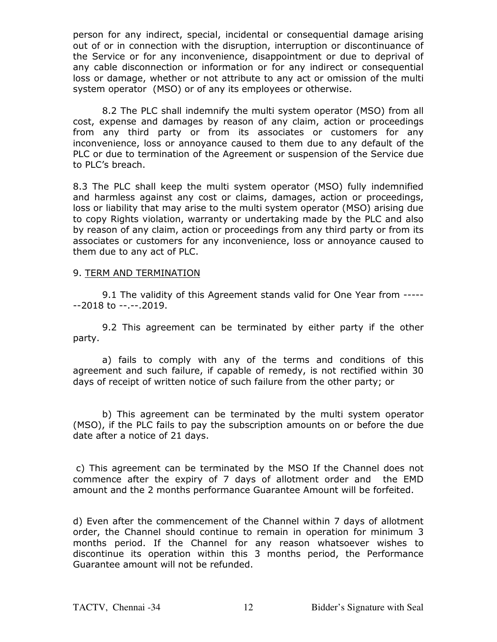person for any indirect, special, incidental or consequential damage arising out of or in connection with the disruption, interruption or discontinuance of the Service or for any inconvenience, disappointment or due to deprival of any cable disconnection or information or for any indirect or consequential loss or damage, whether or not attribute to any act or omission of the multi system operator (MSO) or of any its employees or otherwise.

 8.2 The PLC shall indemnify the multi system operator (MSO) from all cost, expense and damages by reason of any claim, action or proceedings from any third party or from its associates or customers for any inconvenience, loss or annoyance caused to them due to any default of the PLC or due to termination of the Agreement or suspension of the Service due to PLC's breach.

8.3 The PLC shall keep the multi system operator (MSO) fully indemnified and harmless against any cost or claims, damages, action or proceedings, loss or liability that may arise to the multi system operator (MSO) arising due to copy Rights violation, warranty or undertaking made by the PLC and also by reason of any claim, action or proceedings from any third party or from its associates or customers for any inconvenience, loss or annoyance caused to them due to any act of PLC.

#### 9. TERM AND TERMINATION

 9.1 The validity of this Agreement stands valid for One Year from ----- --2018 to --.--.2019.

 9.2 This agreement can be terminated by either party if the other party.

 a) fails to comply with any of the terms and conditions of this agreement and such failure, if capable of remedy, is not rectified within 30 days of receipt of written notice of such failure from the other party; or

 b) This agreement can be terminated by the multi system operator (MSO), if the PLC fails to pay the subscription amounts on or before the due date after a notice of 21 days.

 c) This agreement can be terminated by the MSO If the Channel does not commence after the expiry of 7 days of allotment order and the EMD amount and the 2 months performance Guarantee Amount will be forfeited.

d) Even after the commencement of the Channel within 7 days of allotment order, the Channel should continue to remain in operation for minimum 3 months period. If the Channel for any reason whatsoever wishes to discontinue its operation within this 3 months period, the Performance Guarantee amount will not be refunded.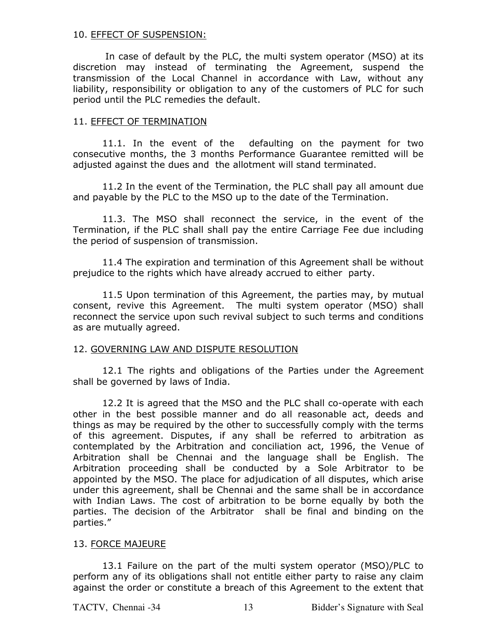## 10. EFFECT OF SUSPENSION:

 In case of default by the PLC, the multi system operator (MSO) at its discretion may instead of terminating the Agreement, suspend the transmission of the Local Channel in accordance with Law, without any liability, responsibility or obligation to any of the customers of PLC for such period until the PLC remedies the default.

#### 11. EFFECT OF TERMINATION

11.1. In the event of the defaulting on the payment for two consecutive months, the 3 months Performance Guarantee remitted will be adjusted against the dues and the allotment will stand terminated.

 11.2 In the event of the Termination, the PLC shall pay all amount due and payable by the PLC to the MSO up to the date of the Termination.

11.3. The MSO shall reconnect the service, in the event of the Termination, if the PLC shall shall pay the entire Carriage Fee due including the period of suspension of transmission.

 11.4 The expiration and termination of this Agreement shall be without prejudice to the rights which have already accrued to either party.

 11.5 Upon termination of this Agreement, the parties may, by mutual consent, revive this Agreement. The multi system operator (MSO) shall reconnect the service upon such revival subject to such terms and conditions as are mutually agreed.

## 12. GOVERNING LAW AND DISPUTE RESOLUTION

 12.1 The rights and obligations of the Parties under the Agreement shall be governed by laws of India.

 12.2 It is agreed that the MSO and the PLC shall co-operate with each other in the best possible manner and do all reasonable act, deeds and things as may be required by the other to successfully comply with the terms of this agreement. Disputes, if any shall be referred to arbitration as contemplated by the Arbitration and conciliation act, 1996, the Venue of Arbitration shall be Chennai and the language shall be English. The Arbitration proceeding shall be conducted by a Sole Arbitrator to be appointed by the MSO. The place for adjudication of all disputes, which arise under this agreement, shall be Chennai and the same shall be in accordance with Indian Laws. The cost of arbitration to be borne equally by both the parties. The decision of the Arbitrator shall be final and binding on the parties."

## 13. FORCE MAJEURE

13.1 Failure on the part of the multi system operator (MSO)/PLC to perform any of its obligations shall not entitle either party to raise any claim against the order or constitute a breach of this Agreement to the extent that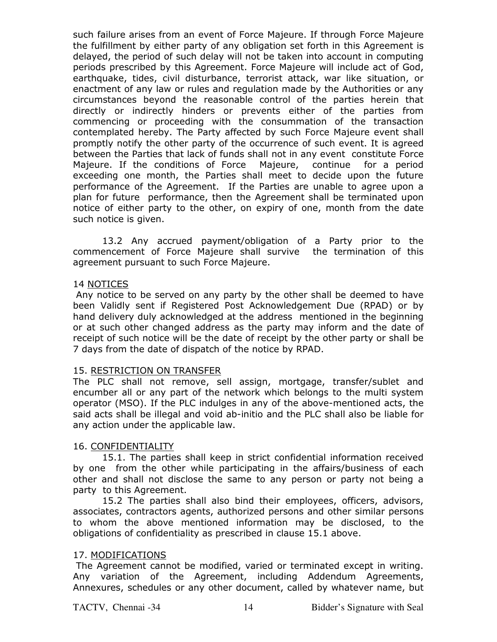such failure arises from an event of Force Majeure. If through Force Majeure the fulfillment by either party of any obligation set forth in this Agreement is delayed, the period of such delay will not be taken into account in computing periods prescribed by this Agreement. Force Majeure will include act of God, earthquake, tides, civil disturbance, terrorist attack, war like situation, or enactment of any law or rules and regulation made by the Authorities or any circumstances beyond the reasonable control of the parties herein that directly or indirectly hinders or prevents either of the parties from commencing or proceeding with the consummation of the transaction contemplated hereby. The Party affected by such Force Majeure event shall promptly notify the other party of the occurrence of such event. It is agreed between the Parties that lack of funds shall not in any event constitute Force Majeure. If the conditions of Force Majeure, continue for a period exceeding one month, the Parties shall meet to decide upon the future performance of the Agreement. If the Parties are unable to agree upon a plan for future performance, then the Agreement shall be terminated upon notice of either party to the other, on expiry of one, month from the date such notice is given.

13.2 Any accrued payment/obligation of a Party prior to the commencement of Force Majeure shall survive the termination of this agreement pursuant to such Force Majeure.

## 14 NOTICES

 Any notice to be served on any party by the other shall be deemed to have been Validly sent if Registered Post Acknowledgement Due (RPAD) or by hand delivery duly acknowledged at the address mentioned in the beginning or at such other changed address as the party may inform and the date of receipt of such notice will be the date of receipt by the other party or shall be 7 days from the date of dispatch of the notice by RPAD.

# 15. RESTRICTION ON TRANSFER

The PLC shall not remove, sell assign, mortgage, transfer/sublet and encumber all or any part of the network which belongs to the multi system operator (MSO). If the PLC indulges in any of the above-mentioned acts, the said acts shall be illegal and void ab-initio and the PLC shall also be liable for any action under the applicable law.

# 16. CONFIDENTIALITY

 15.1. The parties shall keep in strict confidential information received by one from the other while participating in the affairs/business of each other and shall not disclose the same to any person or party not being a party to this Agreement.

 15.2 The parties shall also bind their employees, officers, advisors, associates, contractors agents, authorized persons and other similar persons to whom the above mentioned information may be disclosed, to the obligations of confidentiality as prescribed in clause 15.1 above.

# 17. MODIFICATIONS

 The Agreement cannot be modified, varied or terminated except in writing. Any variation of the Agreement, including Addendum Agreements, Annexures, schedules or any other document, called by whatever name, but